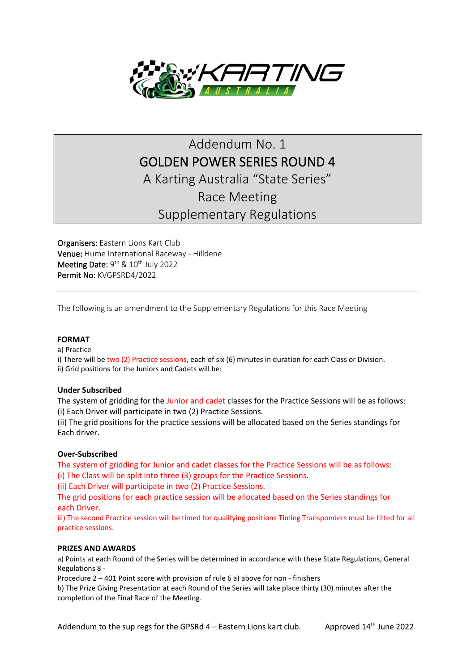

# Addendum No. 1 GOLDEN POWER SERIES ROUND 4 A Karting Australia "State Series" Race Meeting Supplementary Regulations

Organisers: Eastern Lions Kart Club Venue: Hume International Raceway - Hilldene Meeting Date:  $9^{th}$  &  $10^{th}$  July 2022 Permit No: KVGPSRD4/2022

The following is an amendment to the Supplementary Regulations for this Race Meeting

## **FORMAT**

a) Practice

i) There will be two (2) Practice sessions, each of six (6) minutes in duration for each Class or Division. ii) Grid positions for the Juniors and Cadets will be:

## **Under Subscribed**

The system of gridding for the Junior and cadet classes for the Practice Sessions will be as follows: (i) Each Driver will participate in two (2) Practice Sessions.

(ii) The grid positions for the practice sessions will be allocated based on the Series standings for Each driver.

## **Over-Subscribed**

The system of gridding for Junior and cadet classes for the Practice Sessions will be as follows: (i) The Class will be split into three (3) groups for the Practice Sessions.

(ii) Each Driver will participate in two (2) Practice Sessions.

The grid positions for each practice session will be allocated based on the Series standings for each Driver.

iii) The second Practice session will be timed for qualifying positions Timing Transponders must be fitted for all practice sessions.

## **PRIZES AND AWARDS**

a) Points at each Round of the Series will be determined in accordance with these State Regulations, General Regulations 8 -

Procedure 2 – 401 Point score with provision of rule 6 a) above for non - finishers

b) The Prize Giving Presentation at each Round of the Series will take place thirty (30) minutes after the completion of the Final Race of the Meeting.

Addendum to the sup regs for the GPSRd  $4$  – Eastern Lions kart club. Approved  $14<sup>th</sup>$  June 2022